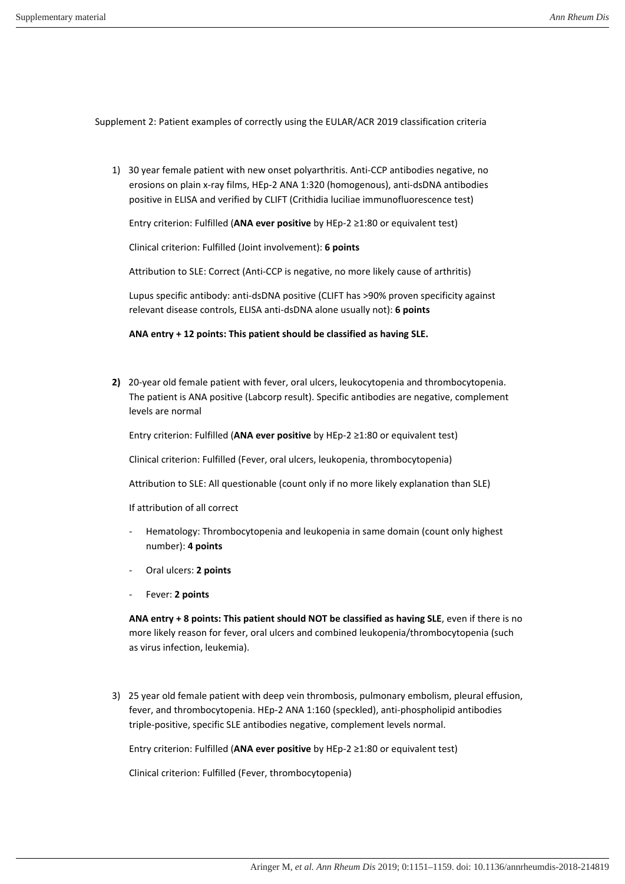Supplement 2: Patient examples of correctly using the EULAR/ACR 2019 classification criteria

1) 30 year female patient with new onset polyarthritis. Anti-CCP antibodies negative, no erosions on plain x-ray films, HEp-2 ANA 1:320 (homogenous), anti-dsDNA antibodies positive in ELISA and verified by CLIFT (Crithidia luciliae immunofluorescence test)

Entry criterion: Fulfilled (ANA ever positive by HEp-2 ≥1:80 or equivalent test)

Clinical criterion: Fulfilled (Joint involvement): **6 points**

Attribution to SLE: Correct (Anti-CCP is negative, no more likely cause of arthritis)

Lupus specific antibody: anti-dsDNA positive (CLIFT has >90% proven specificity against relevant disease controls, ELISA anti-dsDNA alone usually not): **6 points** 

**ANA entry + 12 points: This patient should be classified as having SLE.** 

**2)** 20-year old female patient with fever, oral ulcers, leukocytopenia and thrombocytopenia. The patient is ANA positive (Labcorp result). Specific antibodies are negative, complement levels are normal

Entry criterion: Fulfilled (**ANA ever positive** by HEp-2 ≥1:80 or equivalent test)

Clinical criterion: Fulfilled (Fever, oral ulcers, leukopenia, thrombocytopenia)

Attribution to SLE: All questionable (count only if no more likely explanation than SLE)

If attribution of all correct

- Hematology: Thrombocytopenia and leukopenia in same domain (count only highest number): **4 points**
- Oral ulcers: **2 points**
- Fever: **2 points**

**ANA entry + 8 points: This patient should NOT be classified as having SLE**, even if there is no more likely reason for fever, oral ulcers and combined leukopenia/thrombocytopenia (such as virus infection, leukemia).

3) 25 year old female patient with deep vein thrombosis, pulmonary embolism, pleural effusion, fever, and thrombocytopenia. HEp-2 ANA 1:160 (speckled), anti-phospholipid antibodies triple-positive, specific SLE antibodies negative, complement levels normal.

Entry criterion: Fulfilled (ANA ever positive by HEp-2 ≥1:80 or equivalent test)

Clinical criterion: Fulfilled (Fever, thrombocytopenia)